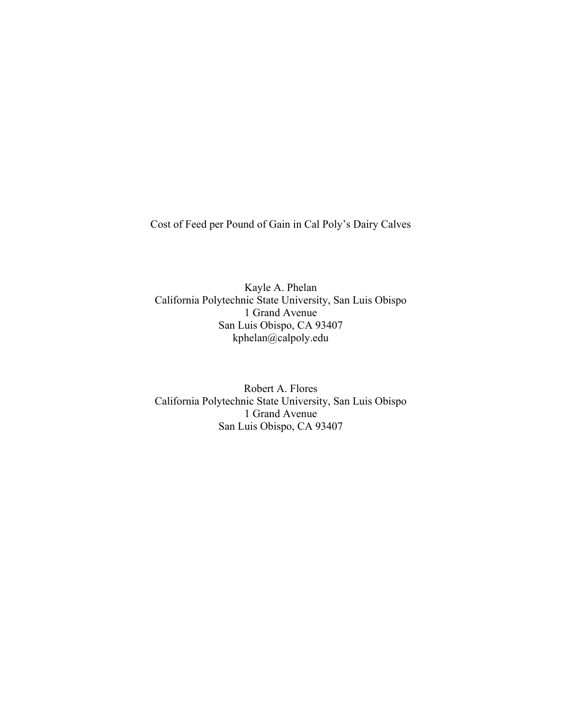Cost of Feed per Pound of Gain in Cal Poly's Dairy Calves

Kayle A. Phelan California Polytechnic State University, San Luis Obispo 1 Grand Avenue San Luis Obispo, CA 93407 kphelan@calpoly.edu

Robert A. Flores California Polytechnic State University, San Luis Obispo 1 Grand Avenue San Luis Obispo, CA 93407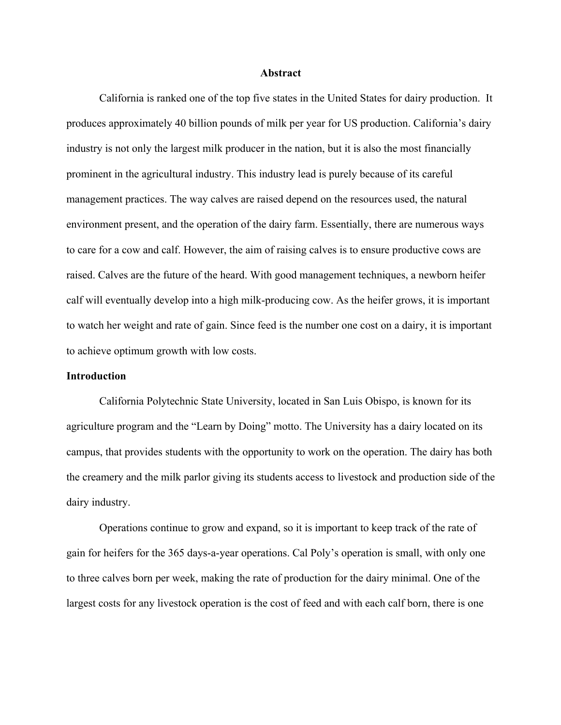### **Abstract**

California is ranked one of the top five states in the United States for dairy production. It produces approximately 40 billion pounds of milk per year for US production. California's dairy industry is not only the largest milk producer in the nation, but it is also the most financially prominent in the agricultural industry. This industry lead is purely because of its careful management practices. The way calves are raised depend on the resources used, the natural environment present, and the operation of the dairy farm. Essentially, there are numerous ways to care for a cow and calf. However, the aim of raising calves is to ensure productive cows are raised. Calves are the future of the heard. With good management techniques, a newborn heifer calf will eventually develop into a high milk-producing cow. As the heifer grows, it is important to watch her weight and rate of gain. Since feed is the number one cost on a dairy, it is important to achieve optimum growth with low costs.

### **Introduction**

California Polytechnic State University, located in San Luis Obispo, is known for its agriculture program and the "Learn by Doing" motto. The University has a dairy located on its campus, that provides students with the opportunity to work on the operation. The dairy has both the creamery and the milk parlor giving its students access to livestock and production side of the dairy industry.

Operations continue to grow and expand, so it is important to keep track of the rate of gain for heifers for the 365 days-a-year operations. Cal Poly's operation is small, with only one to three calves born per week, making the rate of production for the dairy minimal. One of the largest costs for any livestock operation is the cost of feed and with each calf born, there is one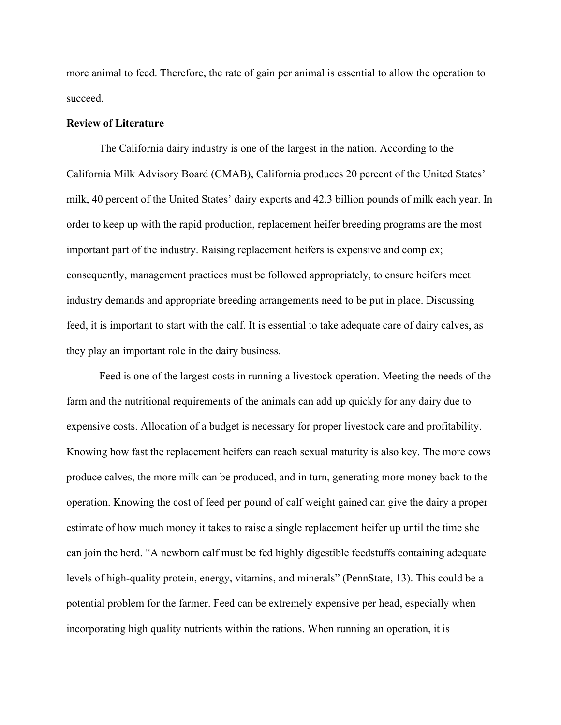more animal to feed. Therefore, the rate of gain per animal is essential to allow the operation to succeed.

# **Review of Literature**

The California dairy industry is one of the largest in the nation. According to the California Milk Advisory Board (CMAB), California produces 20 percent of the United States' milk, 40 percent of the United States' dairy exports and 42.3 billion pounds of milk each year. In order to keep up with the rapid production, replacement heifer breeding programs are the most important part of the industry. Raising replacement heifers is expensive and complex; consequently, management practices must be followed appropriately, to ensure heifers meet industry demands and appropriate breeding arrangements need to be put in place. Discussing feed, it is important to start with the calf. It is essential to take adequate care of dairy calves, as they play an important role in the dairy business.

Feed is one of the largest costs in running a livestock operation. Meeting the needs of the farm and the nutritional requirements of the animals can add up quickly for any dairy due to expensive costs. Allocation of a budget is necessary for proper livestock care and profitability. Knowing how fast the replacement heifers can reach sexual maturity is also key. The more cows produce calves, the more milk can be produced, and in turn, generating more money back to the operation. Knowing the cost of feed per pound of calf weight gained can give the dairy a proper estimate of how much money it takes to raise a single replacement heifer up until the time she can join the herd. "A newborn calf must be fed highly digestible feedstuffs containing adequate levels of high-quality protein, energy, vitamins, and minerals" (PennState, 13). This could be a potential problem for the farmer. Feed can be extremely expensive per head, especially when incorporating high quality nutrients within the rations. When running an operation, it is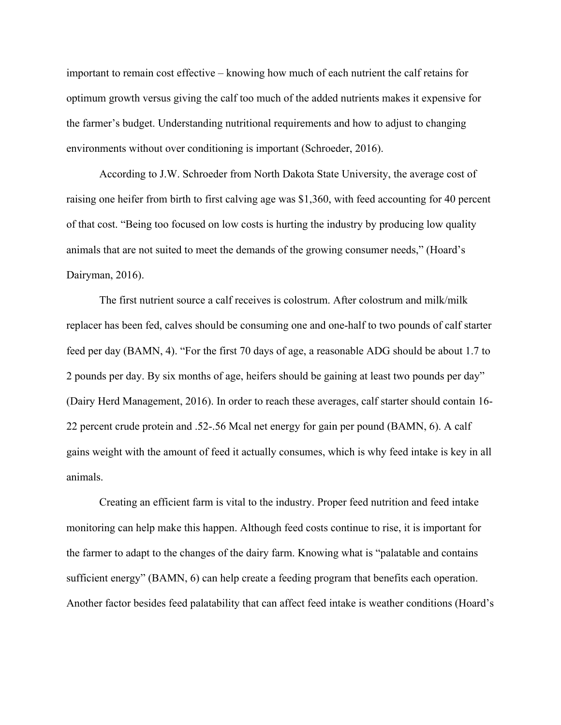important to remain cost effective – knowing how much of each nutrient the calf retains for optimum growth versus giving the calf too much of the added nutrients makes it expensive for the farmer's budget. Understanding nutritional requirements and how to adjust to changing environments without over conditioning is important (Schroeder, 2016).

According to J.W. Schroeder from North Dakota State University, the average cost of raising one heifer from birth to first calving age was \$1,360, with feed accounting for 40 percent of that cost. "Being too focused on low costs is hurting the industry by producing low quality animals that are not suited to meet the demands of the growing consumer needs," (Hoard's Dairyman, 2016).

The first nutrient source a calf receives is colostrum. After colostrum and milk/milk replacer has been fed, calves should be consuming one and one-half to two pounds of calf starter feed per day (BAMN, 4). "For the first 70 days of age, a reasonable ADG should be about 1.7 to 2 pounds per day. By six months of age, heifers should be gaining at least two pounds per day" (Dairy Herd Management, 2016). In order to reach these averages, calf starter should contain 16- 22 percent crude protein and .52-.56 Mcal net energy for gain per pound (BAMN, 6). A calf gains weight with the amount of feed it actually consumes, which is why feed intake is key in all animals.

Creating an efficient farm is vital to the industry. Proper feed nutrition and feed intake monitoring can help make this happen. Although feed costs continue to rise, it is important for the farmer to adapt to the changes of the dairy farm. Knowing what is "palatable and contains sufficient energy" (BAMN, 6) can help create a feeding program that benefits each operation. Another factor besides feed palatability that can affect feed intake is weather conditions (Hoard's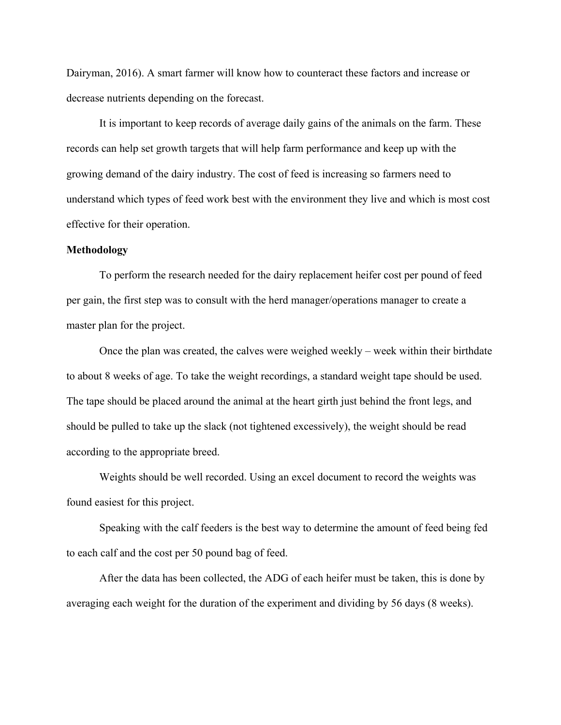Dairyman, 2016). A smart farmer will know how to counteract these factors and increase or decrease nutrients depending on the forecast.

It is important to keep records of average daily gains of the animals on the farm. These records can help set growth targets that will help farm performance and keep up with the growing demand of the dairy industry. The cost of feed is increasing so farmers need to understand which types of feed work best with the environment they live and which is most cost effective for their operation.

# **Methodology**

To perform the research needed for the dairy replacement heifer cost per pound of feed per gain, the first step was to consult with the herd manager/operations manager to create a master plan for the project.

Once the plan was created, the calves were weighed weekly – week within their birthdate to about 8 weeks of age. To take the weight recordings, a standard weight tape should be used. The tape should be placed around the animal at the heart girth just behind the front legs, and should be pulled to take up the slack (not tightened excessively), the weight should be read according to the appropriate breed.

Weights should be well recorded. Using an excel document to record the weights was found easiest for this project.

Speaking with the calf feeders is the best way to determine the amount of feed being fed to each calf and the cost per 50 pound bag of feed.

After the data has been collected, the ADG of each heifer must be taken, this is done by averaging each weight for the duration of the experiment and dividing by 56 days (8 weeks).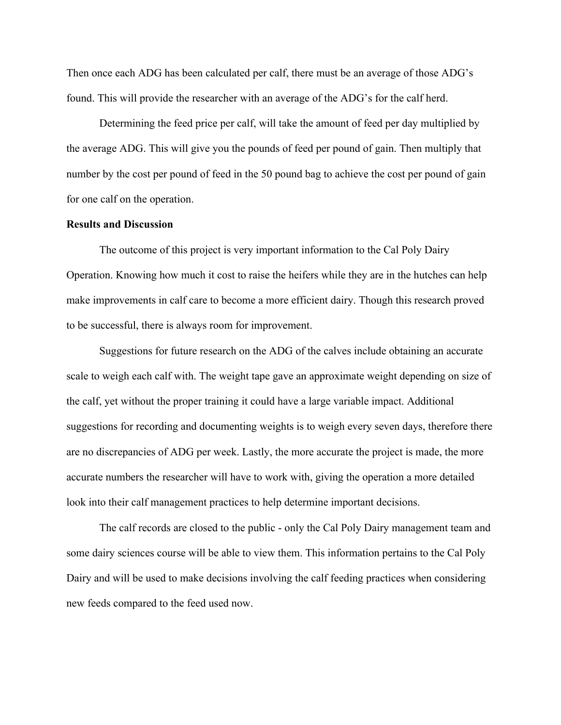Then once each ADG has been calculated per calf, there must be an average of those ADG's found. This will provide the researcher with an average of the ADG's for the calf herd.

Determining the feed price per calf, will take the amount of feed per day multiplied by the average ADG. This will give you the pounds of feed per pound of gain. Then multiply that number by the cost per pound of feed in the 50 pound bag to achieve the cost per pound of gain for one calf on the operation.

### **Results and Discussion**

The outcome of this project is very important information to the Cal Poly Dairy Operation. Knowing how much it cost to raise the heifers while they are in the hutches can help make improvements in calf care to become a more efficient dairy. Though this research proved to be successful, there is always room for improvement.

Suggestions for future research on the ADG of the calves include obtaining an accurate scale to weigh each calf with. The weight tape gave an approximate weight depending on size of the calf, yet without the proper training it could have a large variable impact. Additional suggestions for recording and documenting weights is to weigh every seven days, therefore there are no discrepancies of ADG per week. Lastly, the more accurate the project is made, the more accurate numbers the researcher will have to work with, giving the operation a more detailed look into their calf management practices to help determine important decisions.

The calf records are closed to the public - only the Cal Poly Dairy management team and some dairy sciences course will be able to view them. This information pertains to the Cal Poly Dairy and will be used to make decisions involving the calf feeding practices when considering new feeds compared to the feed used now.